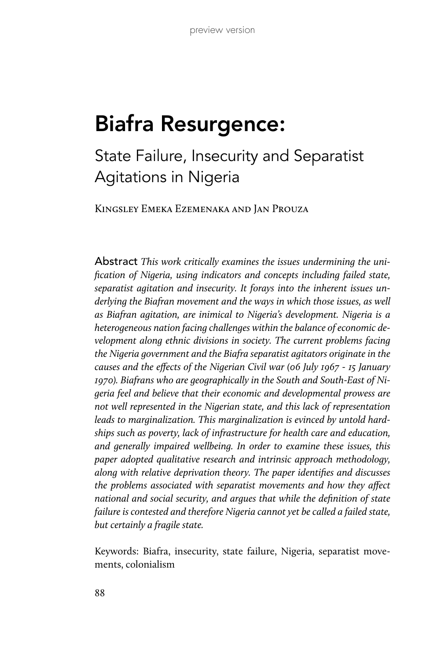# Biafra Resurgence:

State Failure, Insecurity and Separatist Agitations in Nigeria

Kingsley Emeka Ezemenaka and Jan Prouza

Abstract *This work critically examines the issues undermining the unification of Nigeria, using indicators and concepts including failed state, separatist agitation and insecurity. It forays into the inherent issues underlying the Biafran movement and the ways in which those issues, as well as Biafran agitation, are inimical to Nigeria's development. Nigeria is a heterogeneous nation facing challenges within the balance of economic development along ethnic divisions in society. The current problems facing the Nigeria government and the Biafra separatist agitators originate in the causes and the effects of the Nigerian Civil war (06 July 1967 - 15 January 1970). Biafrans who are geographically in the South and South-East of Nigeria feel and believe that their economic and developmental prowess are not well represented in the Nigerian state, and this lack of representation leads to marginalization. This marginalization is evinced by untold hardships such as poverty, lack of infrastructure for health care and education, and generally impaired wellbeing. In order to examine these issues, this paper adopted qualitative research and intrinsic approach methodology, along with relative deprivation theory. The paper identifies and discusses the problems associated with separatist movements and how they affect national and social security, and argues that while the definition of state failure is contested and therefore Nigeria cannot yet be called a failed state, but certainly a fragile state.*

Keywords: Biafra, insecurity, state failure, Nigeria, separatist movements, colonialism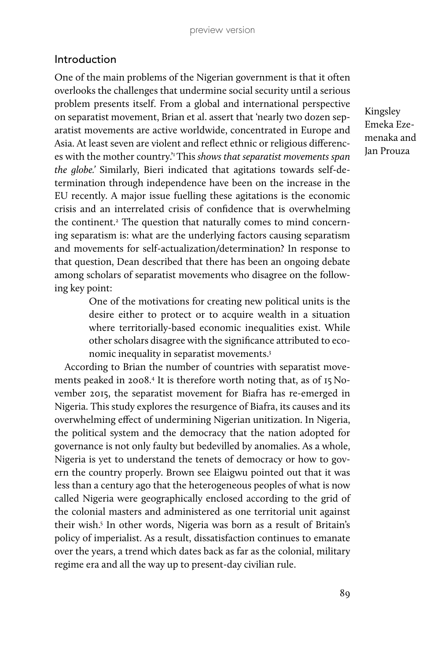## Introduction

One of the main problems of the Nigerian government is that it often overlooks the challenges that undermine social security until a serious problem presents itself. From a global and international perspective on separatist movement, Brian et al. assert that 'nearly two dozen separatist movements are active worldwide, concentrated in Europe and Asia. At least seven are violent and reflect ethnic or religious differences with the mother country.'1 This *shows that separatist movements span the globe.'* Similarly, Bieri indicated that agitations towards self-determination through independence have been on the increase in the EU recently. A major issue fuelling these agitations is the economic crisis and an interrelated crisis of confidence that is overwhelming the continent.2 The question that naturally comes to mind concerning separatism is: what are the underlying factors causing separatism and movements for self-actualization/determination? In response to that question, Dean described that there has been an ongoing debate among scholars of separatist movements who disagree on the following key point:

> One of the motivations for creating new political units is the desire either to protect or to acquire wealth in a situation where territorially-based economic inequalities exist. While other scholars disagree with the significance attributed to economic inequality in separatist movements.3

According to Brian the number of countries with separatist movements peaked in 2008.4 It is therefore worth noting that, as of 15 November 2015, the separatist movement for Biafra has re-emerged in Nigeria. This study explores the resurgence of Biafra, its causes and its overwhelming effect of undermining Nigerian unitization. In Nigeria, the political system and the democracy that the nation adopted for governance is not only faulty but bedevilled by anomalies. As a whole, Nigeria is yet to understand the tenets of democracy or how to govern the country properly. Brown see Elaigwu pointed out that it was less than a century ago that the heterogeneous peoples of what is now called Nigeria were geographically enclosed according to the grid of the colonial masters and administered as one territorial unit against their wish.<sup>5</sup> In other words, Nigeria was born as a result of Britain's policy of imperialist. As a result, dissatisfaction continues to emanate over the years, a trend which dates back as far as the colonial, military regime era and all the way up to present-day civilian rule.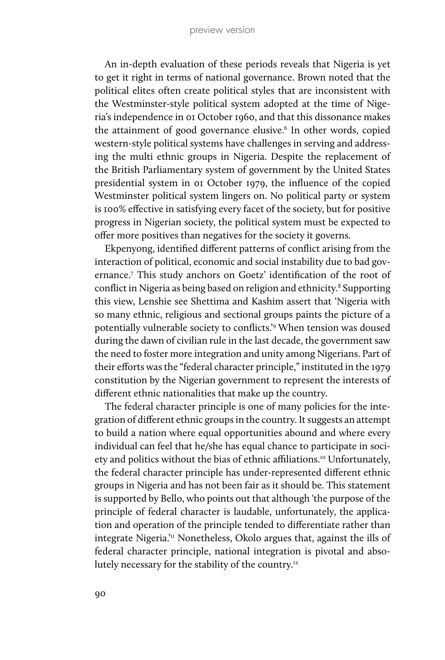An in-depth evaluation of these periods reveals that Nigeria is yet to get it right in terms of national governance. Brown noted that the political elites often create political styles that are inconsistent with the Westminster-style political system adopted at the time of Nigeria's independence in 01 October 1960, and that this dissonance makes the attainment of good governance elusive.<sup>6</sup> In other words, copied western-style political systems have challenges in serving and addressing the multi ethnic groups in Nigeria. Despite the replacement of the British Parliamentary system of government by the United States presidential system in 01 October 1979, the influence of the copied Westminster political system lingers on. No political party or system is 100% effective in satisfying every facet of the society, but for positive progress in Nigerian society, the political system must be expected to offer more positives than negatives for the society it governs.

Ekpenyong, identified different patterns of conflict arising from the interaction of political, economic and social instability due to bad governance.7 This study anchors on Goetz' identification of the root of conflict in Nigeria as being based on religion and ethnicity.<sup>8</sup> Supporting this view, Lenshie see Shettima and Kashim assert that 'Nigeria with so many ethnic, religious and sectional groups paints the picture of a potentially vulnerable society to conflicts.'9 When tension was doused during the dawn of civilian rule in the last decade, the government saw the need to foster more integration and unity among Nigerians. Part of their efforts was the "federal character principle," instituted in the 1979 constitution by the Nigerian government to represent the interests of different ethnic nationalities that make up the country.

The federal character principle is one of many policies for the integration of different ethnic groups in the country. It suggests an attempt to build a nation where equal opportunities abound and where every individual can feel that he/she has equal chance to participate in society and politics without the bias of ethnic affiliations.<sup>10</sup> Unfortunately, the federal character principle has under-represented different ethnic groups in Nigeria and has not been fair as it should be. This statement is supported by Bello, who points out that although 'the purpose of the principle of federal character is laudable, unfortunately, the application and operation of the principle tended to differentiate rather than integrate Nigeria.<sup>'11</sup> Nonetheless, Okolo argues that, against the ills of federal character principle, national integration is pivotal and absolutely necessary for the stability of the country.<sup>12</sup>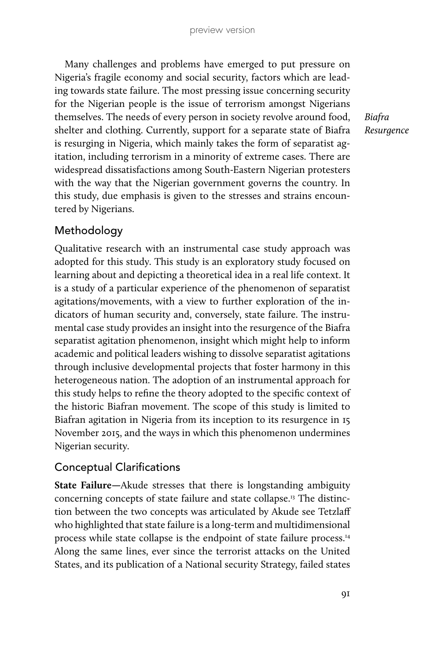Many challenges and problems have emerged to put pressure on Nigeria's fragile economy and social security, factors which are leading towards state failure. The most pressing issue concerning security for the Nigerian people is the issue of terrorism amongst Nigerians themselves. The needs of every person in society revolve around food, shelter and clothing. Currently, support for a separate state of Biafra is resurging in Nigeria, which mainly takes the form of separatist agitation, including terrorism in a minority of extreme cases. There are widespread dissatisfactions among South-Eastern Nigerian protesters with the way that the Nigerian government governs the country. In this study, due emphasis is given to the stresses and strains encountered by Nigerians.

*Biafra Resurgence*

# Methodology

Qualitative research with an instrumental case study approach was adopted for this study. This study is an exploratory study focused on learning about and depicting a theoretical idea in a real life context. It is a study of a particular experience of the phenomenon of separatist agitations/movements, with a view to further exploration of the indicators of human security and, conversely, state failure. The instrumental case study provides an insight into the resurgence of the Biafra separatist agitation phenomenon, insight which might help to inform academic and political leaders wishing to dissolve separatist agitations through inclusive developmental projects that foster harmony in this heterogeneous nation. The adoption of an instrumental approach for this study helps to refine the theory adopted to the specific context of the historic Biafran movement. The scope of this study is limited to Biafran agitation in Nigeria from its inception to its resurgence in 15 November 2015, and the ways in which this phenomenon undermines Nigerian security.

# Conceptual Clarifications

**State Failure—**Akude stresses that there is longstanding ambiguity concerning concepts of state failure and state collapse.13 The distinction between the two concepts was articulated by Akude see Tetzlaff who highlighted that state failure is a long-term and multidimensional process while state collapse is the endpoint of state failure process.14 Along the same lines, ever since the terrorist attacks on the United States, and its publication of a National security Strategy, failed states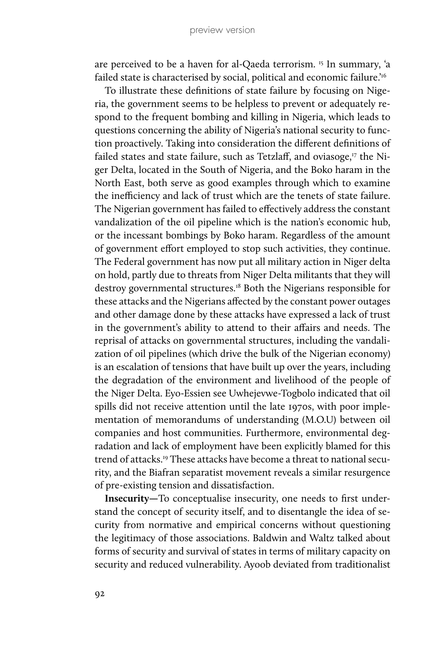are perceived to be a haven for al-Qaeda terrorism.<sup>15</sup> In summary, 'a failed state is characterised by social, political and economic failure.'16

To illustrate these definitions of state failure by focusing on Nigeria, the government seems to be helpless to prevent or adequately respond to the frequent bombing and killing in Nigeria, which leads to questions concerning the ability of Nigeria's national security to function proactively. Taking into consideration the different definitions of failed states and state failure, such as Tetzlaff, and oviasoge, $17$  the Niger Delta, located in the South of Nigeria, and the Boko haram in the North East, both serve as good examples through which to examine the inefficiency and lack of trust which are the tenets of state failure. The Nigerian government has failed to effectively address the constant vandalization of the oil pipeline which is the nation's economic hub, or the incessant bombings by Boko haram. Regardless of the amount of government effort employed to stop such activities, they continue. The Federal government has now put all military action in Niger delta on hold, partly due to threats from Niger Delta militants that they will destroy governmental structures.18 Both the Nigerians responsible for these attacks and the Nigerians affected by the constant power outages and other damage done by these attacks have expressed a lack of trust in the government's ability to attend to their affairs and needs. The reprisal of attacks on governmental structures, including the vandalization of oil pipelines (which drive the bulk of the Nigerian economy) is an escalation of tensions that have built up over the years, including the degradation of the environment and livelihood of the people of the Niger Delta. Eyo-Essien see Uwhejevwe-Togbolo indicated that oil spills did not receive attention until the late 1970s, with poor implementation of memorandums of understanding (M.O.U) between oil companies and host communities. Furthermore, environmental degradation and lack of employment have been explicitly blamed for this trend of attacks.19 These attacks have become a threat to national security, and the Biafran separatist movement reveals a similar resurgence of pre-existing tension and dissatisfaction.

**Insecurity—**To conceptualise insecurity, one needs to first understand the concept of security itself, and to disentangle the idea of security from normative and empirical concerns without questioning the legitimacy of those associations. Baldwin and Waltz talked about forms of security and survival of states in terms of military capacity on security and reduced vulnerability. Ayoob deviated from traditionalist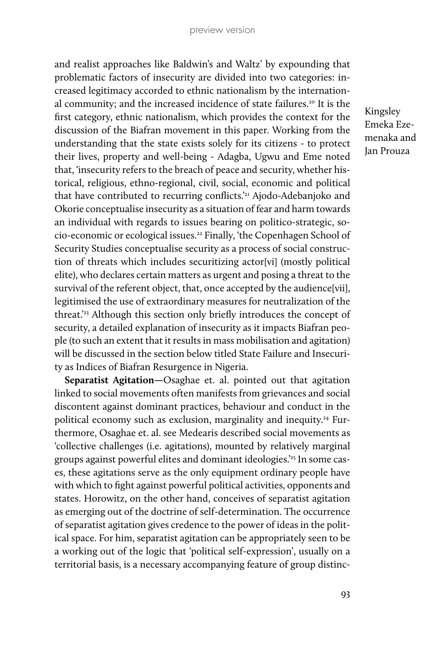and realist approaches like Baldwin's and Waltz' by expounding that problematic factors of insecurity are divided into two categories: increased legitimacy accorded to ethnic nationalism by the international community; and the increased incidence of state failures.<sup>20</sup> It is the first category, ethnic nationalism, which provides the context for the discussion of the Biafran movement in this paper. Working from the understanding that the state exists solely for its citizens - to protect their lives, property and well-being - Adagba, Ugwu and Eme noted that, 'insecurity refers to the breach of peace and security, whether historical, religious, ethno-regional, civil, social, economic and political that have contributed to recurring conflicts.'21 Ajodo-Adebanjoko and Okorie conceptualise insecurity as a situation of fear and harm towards an individual with regards to issues bearing on politico-strategic, socio-economic or ecological issues.22 Finally, 'the Copenhagen School of Security Studies conceptualise security as a process of social construction of threats which includes securitizing actor[vi] (mostly political elite), who declares certain matters as urgent and posing a threat to the survival of the referent object, that, once accepted by the audience[vii], legitimised the use of extraordinary measures for neutralization of the threat.'23 Although this section only briefly introduces the concept of security, a detailed explanation of insecurity as it impacts Biafran people (to such an extent that it results in mass mobilisation and agitation) will be discussed in the section below titled State Failure and Insecurity as Indices of Biafran Resurgence in Nigeria.

**Separatist Agitation—**Osaghae et. al. pointed out that agitation linked to social movements often manifests from grievances and social discontent against dominant practices, behaviour and conduct in the political economy such as exclusion, marginality and inequity.24 Furthermore, Osaghae et. al. see Medearis described social movements as 'collective challenges (i.e. agitations), mounted by relatively marginal groups against powerful elites and dominant ideologies.'25 In some cases, these agitations serve as the only equipment ordinary people have with which to fight against powerful political activities, opponents and states. Horowitz, on the other hand, conceives of separatist agitation as emerging out of the doctrine of self-determination. The occurrence of separatist agitation gives credence to the power of ideas in the political space. For him, separatist agitation can be appropriately seen to be a working out of the logic that 'political self-expression', usually on a territorial basis, is a necessary accompanying feature of group distinc-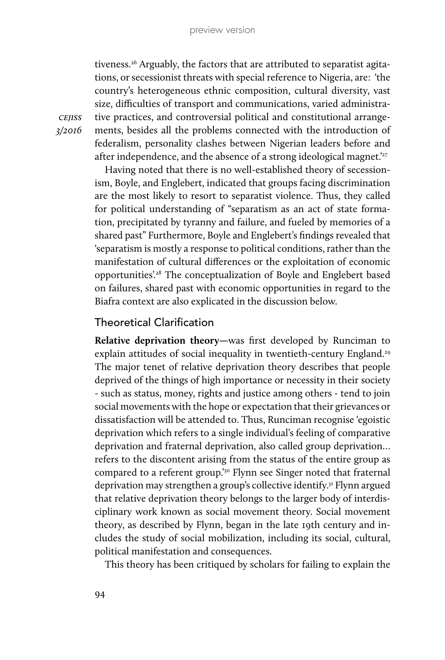tiveness.<sup>26</sup> Arguably, the factors that are attributed to separatist agitations, or secessionist threats with special reference to Nigeria, are: 'the country's heterogeneous ethnic composition, cultural diversity, vast size, difficulties of transport and communications, varied administrative practices, and controversial political and constitutional arrangements, besides all the problems connected with the introduction of federalism, personality clashes between Nigerian leaders before and after independence, and the absence of a strong ideological magnet.<sup>27</sup>

Having noted that there is no well-established theory of secessionism, Boyle, and Englebert, indicated that groups facing discrimination are the most likely to resort to separatist violence. Thus, they called for political understanding of "separatism as an act of state formation, precipitated by tyranny and failure, and fueled by memories of a shared past" Furthermore, Boyle and Englebert's findings revealed that 'separatism is mostly a response to political conditions, rather than the manifestation of cultural differences or the exploitation of economic opportunities'.28 The conceptualization of Boyle and Englebert based on failures, shared past with economic opportunities in regard to the Biafra context are also explicated in the discussion below.

#### Theoretical Clarification

**Relative deprivation theory—**was first developed by Runciman to explain attitudes of social inequality in twentieth-century England.<sup>29</sup> The major tenet of relative deprivation theory describes that people deprived of the things of high importance or necessity in their society - such as status, money, rights and justice among others - tend to join social movements with the hope or expectation that their grievances or dissatisfaction will be attended to. Thus, Runciman recognise 'egoistic deprivation which refers to a single individual's feeling of comparative deprivation and fraternal deprivation, also called group deprivation… refers to the discontent arising from the status of the entire group as compared to a referent group.<sup>'30</sup> Flynn see Singer noted that fraternal deprivation may strengthen a group's collective identify.31 Flynn argued that relative deprivation theory belongs to the larger body of interdisciplinary work known as social movement theory. Social movement theory, as described by Flynn, began in the late 19th century and includes the study of social mobilization, including its social, cultural, political manifestation and consequences.

This theory has been critiqued by scholars for failing to explain the

*cejiss 3/2016*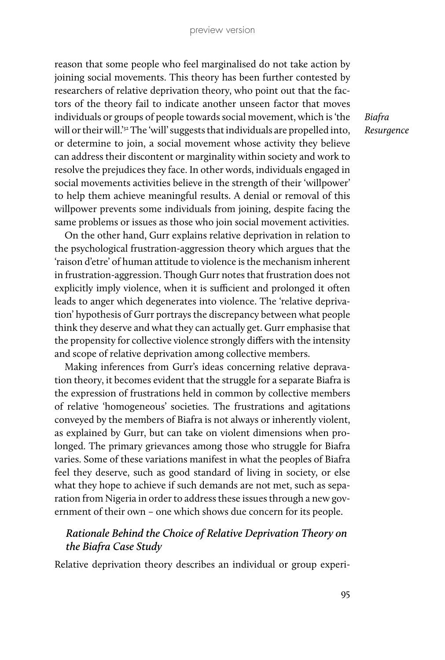reason that some people who feel marginalised do not take action by joining social movements. This theory has been further contested by researchers of relative deprivation theory, who point out that the factors of the theory fail to indicate another unseen factor that moves individuals or groups of people towards social movement, which is 'the will or their will.<sup>'32</sup> The 'will' suggests that individuals are propelled into, or determine to join, a social movement whose activity they believe can address their discontent or marginality within society and work to resolve the prejudices they face. In other words, individuals engaged in social movements activities believe in the strength of their 'willpower' to help them achieve meaningful results. A denial or removal of this willpower prevents some individuals from joining, despite facing the same problems or issues as those who join social movement activities.

On the other hand, Gurr explains relative deprivation in relation to the psychological frustration-aggression theory which argues that the 'raison d'etre' of human attitude to violence is the mechanism inherent in frustration-aggression. Though Gurr notes that frustration does not explicitly imply violence, when it is sufficient and prolonged it often leads to anger which degenerates into violence. The 'relative deprivation' hypothesis of Gurr portrays the discrepancy between what people think they deserve and what they can actually get. Gurr emphasise that the propensity for collective violence strongly differs with the intensity and scope of relative deprivation among collective members.

Making inferences from Gurr's ideas concerning relative depravation theory, it becomes evident that the struggle for a separate Biafra is the expression of frustrations held in common by collective members of relative 'homogeneous' societies. The frustrations and agitations conveyed by the members of Biafra is not always or inherently violent, as explained by Gurr, but can take on violent dimensions when prolonged. The primary grievances among those who struggle for Biafra varies. Some of these variations manifest in what the peoples of Biafra feel they deserve, such as good standard of living in society, or else what they hope to achieve if such demands are not met, such as separation from Nigeria in order to address these issues through a new government of their own – one which shows due concern for its people.

## *Rationale Behind the Choice of Relative Deprivation Theory on the Biafra Case Study*

Relative deprivation theory describes an individual or group experi-

*Biafra Resurgence*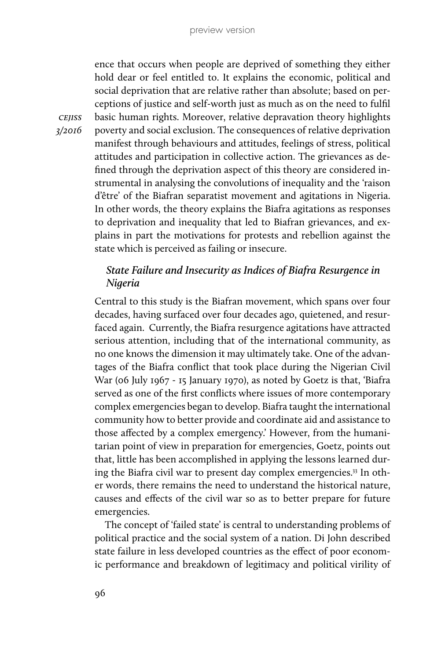ence that occurs when people are deprived of something they either hold dear or feel entitled to. It explains the economic, political and social deprivation that are relative rather than absolute; based on perceptions of justice and self-worth just as much as on the need to fulfil basic human rights. Moreover, relative depravation theory highlights poverty and social exclusion. The consequences of relative deprivation manifest through behaviours and attitudes, feelings of stress, political attitudes and participation in collective action. The grievances as defined through the deprivation aspect of this theory are considered instrumental in analysing the convolutions of inequality and the 'raison d'être' of the Biafran separatist movement and agitations in Nigeria. In other words, the theory explains the Biafra agitations as responses to deprivation and inequality that led to Biafran grievances, and explains in part the motivations for protests and rebellion against the state which is perceived as failing or insecure.

# *State Failure and Insecurity as Indices of Biafra Resurgence in Nigeria*

Central to this study is the Biafran movement, which spans over four decades, having surfaced over four decades ago, quietened, and resurfaced again. Currently, the Biafra resurgence agitations have attracted serious attention, including that of the international community, as no one knows the dimension it may ultimately take. One of the advantages of the Biafra conflict that took place during the Nigerian Civil War (06 July 1967 - 15 January 1970), as noted by Goetz is that, 'Biafra served as one of the first conflicts where issues of more contemporary complex emergencies began to develop. Biafra taught the international community how to better provide and coordinate aid and assistance to those affected by a complex emergency.' However, from the humanitarian point of view in preparation for emergencies, Goetz, points out that, little has been accomplished in applying the lessons learned during the Biafra civil war to present day complex emergencies.<sup>33</sup> In other words, there remains the need to understand the historical nature, causes and effects of the civil war so as to better prepare for future emergencies.

The concept of 'failed state' is central to understanding problems of political practice and the social system of a nation. Di John described state failure in less developed countries as the effect of poor economic performance and breakdown of legitimacy and political virility of

*cejiss 3/2016*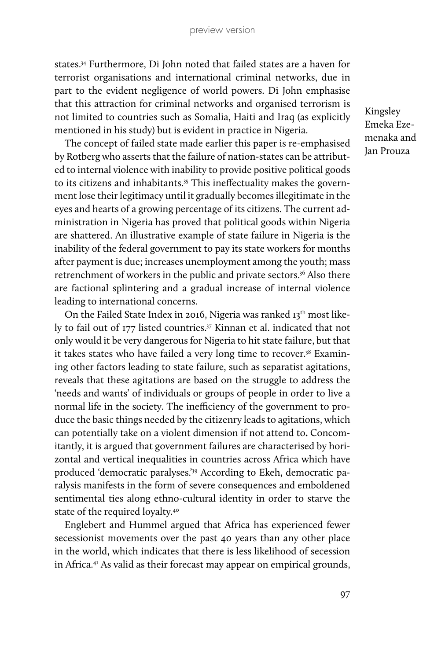states.34 Furthermore, Di John noted that failed states are a haven for terrorist organisations and international criminal networks, due in part to the evident negligence of world powers. Di John emphasise that this attraction for criminal networks and organised terrorism is not limited to countries such as Somalia, Haiti and Iraq (as explicitly mentioned in his study) but is evident in practice in Nigeria.

The concept of failed state made earlier this paper is re-emphasised by Rotberg who asserts that the failure of nation-states can be attributed to internal violence with inability to provide positive political goods to its citizens and inhabitants.<sup>35</sup> This ineffectuality makes the government lose their legitimacy until it gradually becomes illegitimate in the eyes and hearts of a growing percentage of its citizens. The current administration in Nigeria has proved that political goods within Nigeria are shattered. An illustrative example of state failure in Nigeria is the inability of the federal government to pay its state workers for months after payment is due; increases unemployment among the youth; mass retrenchment of workers in the public and private sectors.<sup>36</sup> Also there are factional splintering and a gradual increase of internal violence leading to international concerns.

On the Failed State Index in 2016, Nigeria was ranked 13<sup>th</sup> most likely to fail out of 177 listed countries.<sup>37</sup> Kinnan et al. indicated that not only would it be very dangerous for Nigeria to hit state failure, but that it takes states who have failed a very long time to recover. $38$  Examining other factors leading to state failure, such as separatist agitations, reveals that these agitations are based on the struggle to address the 'needs and wants' of individuals or groups of people in order to live a normal life in the society. The inefficiency of the government to produce the basic things needed by the citizenry leads to agitations, which can potentially take on a violent dimension if not attend to**.** Concomitantly, it is argued that government failures are characterised by horizontal and vertical inequalities in countries across Africa which have produced 'democratic paralyses.'39 According to Ekeh, democratic paralysis manifests in the form of severe consequences and emboldened sentimental ties along ethno-cultural identity in order to starve the state of the required loyalty.40

Englebert and Hummel argued that Africa has experienced fewer secessionist movements over the past 40 years than any other place in the world, which indicates that there is less likelihood of secession in Africa.41 As valid as their forecast may appear on empirical grounds,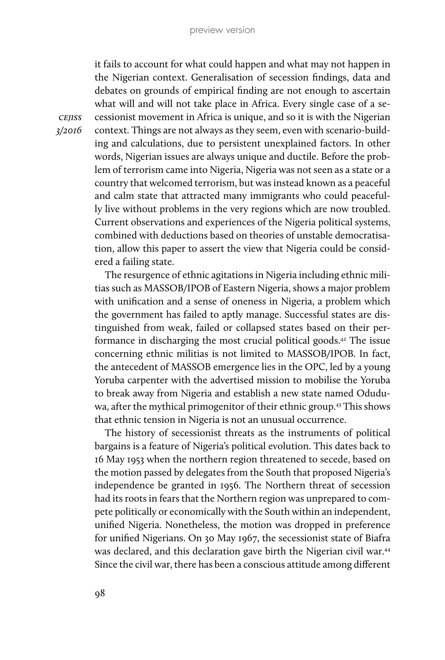it fails to account for what could happen and what may not happen in the Nigerian context. Generalisation of secession findings, data and debates on grounds of empirical finding are not enough to ascertain what will and will not take place in Africa. Every single case of a secessionist movement in Africa is unique, and so it is with the Nigerian context. Things are not always as they seem, even with scenario-building and calculations, due to persistent unexplained factors. In other words, Nigerian issues are always unique and ductile. Before the problem of terrorism came into Nigeria, Nigeria was not seen as a state or a country that welcomed terrorism, but was instead known as a peaceful and calm state that attracted many immigrants who could peacefully live without problems in the very regions which are now troubled. Current observations and experiences of the Nigeria political systems, combined with deductions based on theories of unstable democratisation, allow this paper to assert the view that Nigeria could be considered a failing state.

The resurgence of ethnic agitations in Nigeria including ethnic militias such as MASSOB/IPOB of Eastern Nigeria, shows a major problem with unification and a sense of oneness in Nigeria, a problem which the government has failed to aptly manage. Successful states are distinguished from weak, failed or collapsed states based on their performance in discharging the most crucial political goods.42 The issue concerning ethnic militias is not limited to MASSOB/IPOB. In fact, the antecedent of MASSOB emergence lies in the OPC, led by a young Yoruba carpenter with the advertised mission to mobilise the Yoruba to break away from Nigeria and establish a new state named Oduduwa, after the mythical primogenitor of their ethnic group.<sup>43</sup> This shows that ethnic tension in Nigeria is not an unusual occurrence.

The history of secessionist threats as the instruments of political bargains is a feature of Nigeria's political evolution. This dates back to 16 May 1953 when the northern region threatened to secede, based on the motion passed by delegates from the South that proposed Nigeria's independence be granted in 1956. The Northern threat of secession had its roots in fears that the Northern region was unprepared to compete politically or economically with the South within an independent, unified Nigeria. Nonetheless, the motion was dropped in preference for unified Nigerians. On 30 May 1967, the secessionist state of Biafra was declared, and this declaration gave birth the Nigerian civil war.<sup>44</sup> Since the civil war, there has been a conscious attitude among different

*cejiss 3/2016*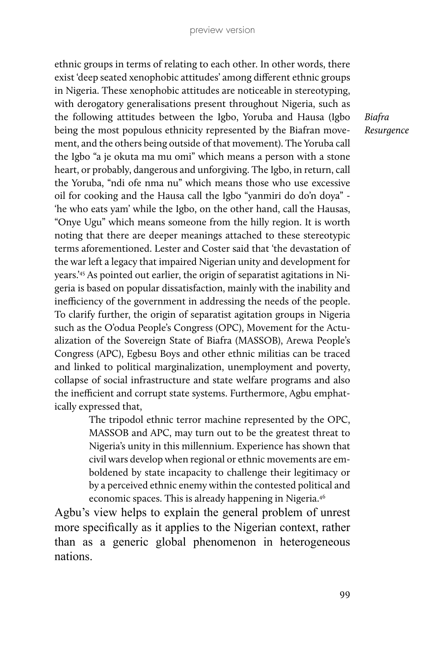ethnic groups in terms of relating to each other. In other words, there exist 'deep seated xenophobic attitudes' among different ethnic groups in Nigeria. These xenophobic attitudes are noticeable in stereotyping, with derogatory generalisations present throughout Nigeria, such as the following attitudes between the Igbo, Yoruba and Hausa (Igbo being the most populous ethnicity represented by the Biafran movement, and the others being outside of that movement). The Yoruba call the Igbo "a je okuta ma mu omi" which means a person with a stone heart, or probably, dangerous and unforgiving. The Igbo, in return, call the Yoruba, "ndi ofe nma nu" which means those who use excessive oil for cooking and the Hausa call the Igbo "yanmiri do do'n doya" - 'he who eats yam' while the Igbo, on the other hand, call the Hausas, "Onye Ugu" which means someone from the hilly region. It is worth noting that there are deeper meanings attached to these stereotypic terms aforementioned. Lester and Coster said that 'the devastation of the war left a legacy that impaired Nigerian unity and development for years.'45 As pointed out earlier, the origin of separatist agitations in Nigeria is based on popular dissatisfaction, mainly with the inability and inefficiency of the government in addressing the needs of the people. To clarify further, the origin of separatist agitation groups in Nigeria such as the O'odua People's Congress (OPC), Movement for the Actualization of the Sovereign State of Biafra (MASSOB), Arewa People's Congress (APC), Egbesu Boys and other ethnic militias can be traced and linked to political marginalization, unemployment and poverty, collapse of social infrastructure and state welfare programs and also the inefficient and corrupt state systems. Furthermore, Agbu emphatically expressed that,

> The tripodol ethnic terror machine represented by the OPC, MASSOB and APC, may turn out to be the greatest threat to Nigeria's unity in this millennium. Experience has shown that civil wars develop when regional or ethnic movements are emboldened by state incapacity to challenge their legitimacy or by a perceived ethnic enemy within the contested political and economic spaces. This is already happening in Nigeria.<sup>46</sup>

Agbu's view helps to explain the general problem of unrest more specifically as it applies to the Nigerian context, rather than as a generic global phenomenon in heterogeneous nations.

*Biafra Resurgence*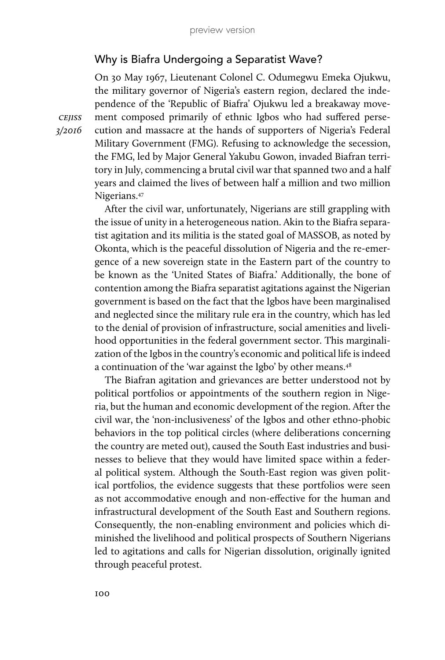## Why is Biafra Undergoing a Separatist Wave?

On 30 May 1967, Lieutenant Colonel C. Odumegwu Emeka Ojukwu, the military governor of Nigeria's eastern region, declared the independence of the 'Republic of Biafra' Ojukwu led a breakaway movement composed primarily of ethnic Igbos who had suffered persecution and massacre at the hands of supporters of Nigeria's Federal Military Government (FMG). Refusing to acknowledge the secession, the FMG, led by Major General Yakubu Gowon, invaded Biafran territory in July, commencing a brutal civil war that spanned two and a half years and claimed the lives of between half a million and two million Nigerians.47

After the civil war, unfortunately, Nigerians are still grappling with the issue of unity in a heterogeneous nation. Akin to the Biafra separatist agitation and its militia is the stated goal of MASSOB, as noted by Okonta, which is the peaceful dissolution of Nigeria and the re-emergence of a new sovereign state in the Eastern part of the country to be known as the 'United States of Biafra.' Additionally, the bone of contention among the Biafra separatist agitations against the Nigerian government is based on the fact that the Igbos have been marginalised and neglected since the military rule era in the country, which has led to the denial of provision of infrastructure, social amenities and livelihood opportunities in the federal government sector. This marginalization of the Igbos in the country's economic and political life is indeed a continuation of the 'war against the Igbo' by other means.<sup>48</sup>

The Biafran agitation and grievances are better understood not by political portfolios or appointments of the southern region in Nigeria, but the human and economic development of the region. After the civil war, the 'non-inclusiveness' of the Igbos and other ethno-phobic behaviors in the top political circles (where deliberations concerning the country are meted out), caused the South East industries and businesses to believe that they would have limited space within a federal political system. Although the South-East region was given political portfolios, the evidence suggests that these portfolios were seen as not accommodative enough and non-effective for the human and infrastructural development of the South East and Southern regions. Consequently, the non-enabling environment and policies which diminished the livelihood and political prospects of Southern Nigerians led to agitations and calls for Nigerian dissolution, originally ignited through peaceful protest.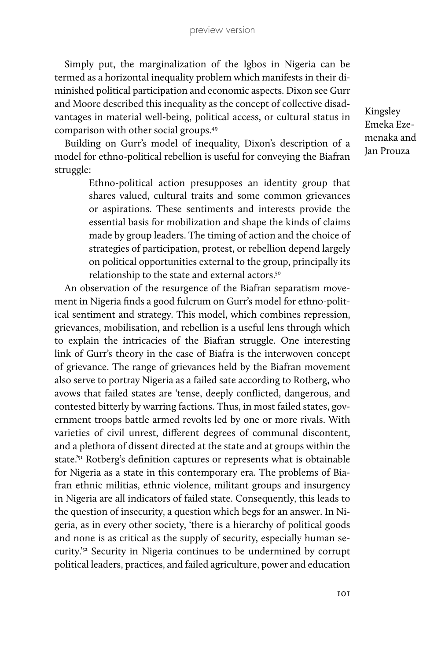Simply put, the marginalization of the Igbos in Nigeria can be termed as a horizontal inequality problem which manifests in their diminished political participation and economic aspects. Dixon see Gurr and Moore described this inequality as the concept of collective disadvantages in material well-being, political access, or cultural status in comparison with other social groups.49

Kingsley Emeka Ezemenaka and Jan Prouza

Building on Gurr's model of inequality, Dixon's description of a model for ethno-political rebellion is useful for conveying the Biafran struggle:

> Ethno-political action presupposes an identity group that shares valued, cultural traits and some common grievances or aspirations. These sentiments and interests provide the essential basis for mobilization and shape the kinds of claims made by group leaders. The timing of action and the choice of strategies of participation, protest, or rebellion depend largely on political opportunities external to the group, principally its relationship to the state and external actors.<sup>50</sup>

An observation of the resurgence of the Biafran separatism movement in Nigeria finds a good fulcrum on Gurr's model for ethno-political sentiment and strategy. This model, which combines repression, grievances, mobilisation, and rebellion is a useful lens through which to explain the intricacies of the Biafran struggle. One interesting link of Gurr's theory in the case of Biafra is the interwoven concept of grievance. The range of grievances held by the Biafran movement also serve to portray Nigeria as a failed sate according to Rotberg, who avows that failed states are 'tense, deeply conflicted, dangerous, and contested bitterly by warring factions. Thus, in most failed states, government troops battle armed revolts led by one or more rivals. With varieties of civil unrest, different degrees of communal discontent, and a plethora of dissent directed at the state and at groups within the state.'51 Rotberg's definition captures or represents what is obtainable for Nigeria as a state in this contemporary era. The problems of Biafran ethnic militias, ethnic violence, militant groups and insurgency in Nigeria are all indicators of failed state. Consequently, this leads to the question of insecurity, a question which begs for an answer. In Nigeria, as in every other society, 'there is a hierarchy of political goods and none is as critical as the supply of security, especially human security.'52 Security in Nigeria continues to be undermined by corrupt political leaders, practices, and failed agriculture, power and education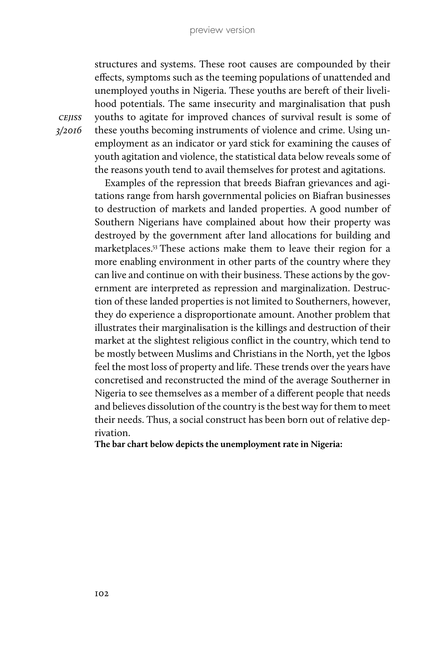structures and systems. These root causes are compounded by their effects, symptoms such as the teeming populations of unattended and unemployed youths in Nigeria. These youths are bereft of their livelihood potentials. The same insecurity and marginalisation that push youths to agitate for improved chances of survival result is some of these youths becoming instruments of violence and crime. Using unemployment as an indicator or yard stick for examining the causes of youth agitation and violence, the statistical data below reveals some of the reasons youth tend to avail themselves for protest and agitations.

Examples of the repression that breeds Biafran grievances and agitations range from harsh governmental policies on Biafran businesses to destruction of markets and landed properties. A good number of Southern Nigerians have complained about how their property was destroyed by the government after land allocations for building and marketplaces.53 These actions make them to leave their region for a more enabling environment in other parts of the country where they can live and continue on with their business. These actions by the government are interpreted as repression and marginalization. Destruction of these landed properties is not limited to Southerners, however, they do experience a disproportionate amount. Another problem that illustrates their marginalisation is the killings and destruction of their market at the slightest religious conflict in the country, which tend to be mostly between Muslims and Christians in the North, yet the Igbos feel the most loss of property and life. These trends over the years have concretised and reconstructed the mind of the average Southerner in Nigeria to see themselves as a member of a different people that needs and believes dissolution of the country is the best way for them to meet their needs. Thus, a social construct has been born out of relative deprivation.

**The bar chart below depicts the unemployment rate in Nigeria:**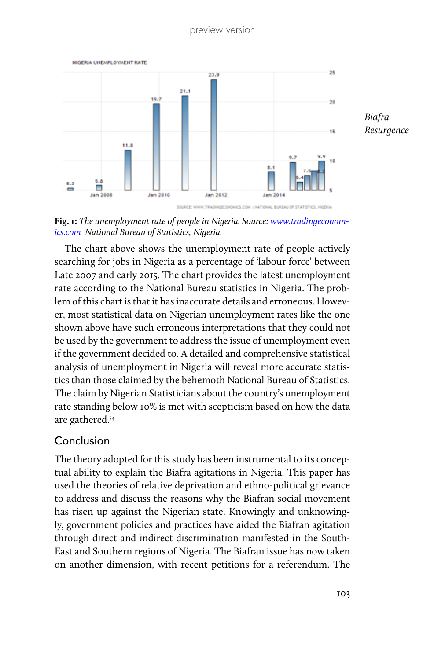

**Fig. 1:** *The unemployment rate of people in Nigeria. Source: [www.tradingeconom](http://www.tradingeconomics.com)[ics.com](http://www.tradingeconomics.com) National Bureau of Statistics, Nigeria.*

The chart above shows the unemployment rate of people actively searching for jobs in Nigeria as a percentage of 'labour force' between Late 2007 and early 2015. The chart provides the latest unemployment rate according to the National Bureau statistics in Nigeria. The problem of this chart is that it has inaccurate details and erroneous. However, most statistical data on Nigerian unemployment rates like the one shown above have such erroneous interpretations that they could not be used by the government to address the issue of unemployment even if the government decided to. A detailed and comprehensive statistical analysis of unemployment in Nigeria will reveal more accurate statistics than those claimed by the behemoth National Bureau of Statistics. The claim by Nigerian Statisticians about the country's unemployment rate standing below 10% is met with scepticism based on how the data are gathered.54

## Conclusion

The theory adopted for this study has been instrumental to its conceptual ability to explain the Biafra agitations in Nigeria. This paper has used the theories of relative deprivation and ethno-political grievance to address and discuss the reasons why the Biafran social movement has risen up against the Nigerian state. Knowingly and unknowingly, government policies and practices have aided the Biafran agitation through direct and indirect discrimination manifested in the South-East and Southern regions of Nigeria. The Biafran issue has now taken on another dimension, with recent petitions for a referendum. The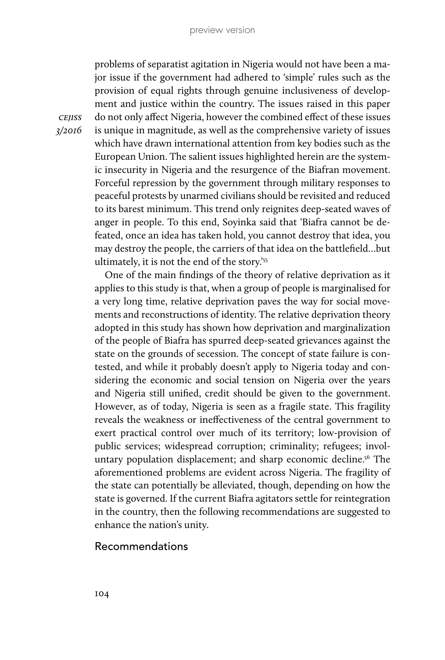problems of separatist agitation in Nigeria would not have been a major issue if the government had adhered to 'simple' rules such as the provision of equal rights through genuine inclusiveness of development and justice within the country. The issues raised in this paper do not only affect Nigeria, however the combined effect of these issues is unique in magnitude, as well as the comprehensive variety of issues which have drawn international attention from key bodies such as the European Union. The salient issues highlighted herein are the systemic insecurity in Nigeria and the resurgence of the Biafran movement. Forceful repression by the government through military responses to peaceful protests by unarmed civilians should be revisited and reduced to its barest minimum. This trend only reignites deep-seated waves of anger in people. To this end, Soyinka said that 'Biafra cannot be defeated, once an idea has taken hold, you cannot destroy that idea, you may destroy the people, the carriers of that idea on the battlefield…but ultimately, it is not the end of the story.'55

One of the main findings of the theory of relative deprivation as it applies to this study is that, when a group of people is marginalised for a very long time, relative deprivation paves the way for social movements and reconstructions of identity. The relative deprivation theory adopted in this study has shown how deprivation and marginalization of the people of Biafra has spurred deep-seated grievances against the state on the grounds of secession. The concept of state failure is contested, and while it probably doesn't apply to Nigeria today and considering the economic and social tension on Nigeria over the years and Nigeria still unified, credit should be given to the government. However, as of today, Nigeria is seen as a fragile state. This fragility reveals the weakness or ineffectiveness of the central government to exert practical control over much of its territory; low-provision of public services; widespread corruption; criminality; refugees; involuntary population displacement; and sharp economic decline.<sup>56</sup> The aforementioned problems are evident across Nigeria. The fragility of the state can potentially be alleviated, though, depending on how the state is governed. If the current Biafra agitators settle for reintegration in the country, then the following recommendations are suggested to enhance the nation's unity.

#### Recommendations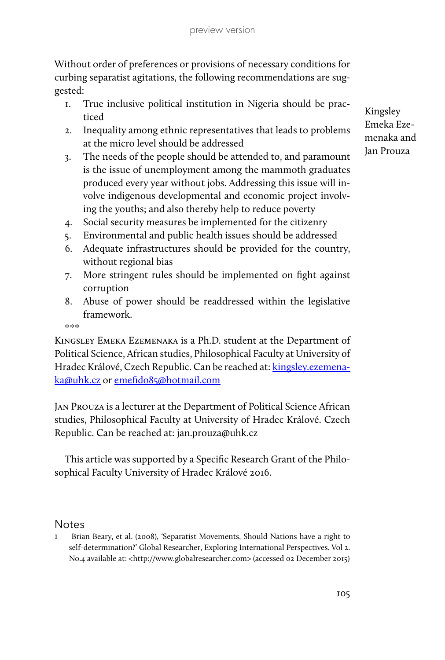Without order of preferences or provisions of necessary conditions for curbing separatist agitations, the following recommendations are suggested:

- 1. True inclusive political institution in Nigeria should be practiced
- 2. Inequality among ethnic representatives that leads to problems at the micro level should be addressed
- 3. The needs of the people should be attended to, and paramount is the issue of unemployment among the mammoth graduates produced every year without jobs. Addressing this issue will involve indigenous developmental and economic project involving the youths; and also thereby help to reduce poverty
- 4. Social security measures be implemented for the citizenry
- 5. Environmental and public health issues should be addressed
- 6. Adequate infrastructures should be provided for the country, without regional bias
- 7. More stringent rules should be implemented on fight against corruption
- 8. Abuse of power should be readdressed within the legislative framework.

 $\frac{1}{2}$  to  $\frac{1}{2}$  to  $\frac{1}{2}$  to

Kingsley Emeka Ezemenaka is a Ph.D. student at the Department of Political Science, African studies, Philosophical Faculty at University of Hradec Králové, Czech Republic. Can be reached at: [kingsley.ezemena](mailto:kingsley.ezemenaka@uhk.cz)[ka@uhk.cz](mailto:kingsley.ezemenaka@uhk.cz) or [emefido85@hotmail.com](mailto:emefido85@hotmail.com)

Jan Prouza is a lecturer at the Department of Political Science African studies, Philosophical Faculty at University of Hradec Králové. Czech Republic. Can be reached at: jan.prouza@uhk.cz

This article was supported by a Specific Research Grant of the Philosophical Faculty University of Hradec Králové 2016.

#### **Notes**

1 Brian Beary, et al. (2008), 'Separatist Movements, Should Nations have a right to self-determination?' Global Researcher, Exploring International Perspectives. Vol 2. No.4 available at: <http://www.globalresearcher.com> (accessed 02 December 2015)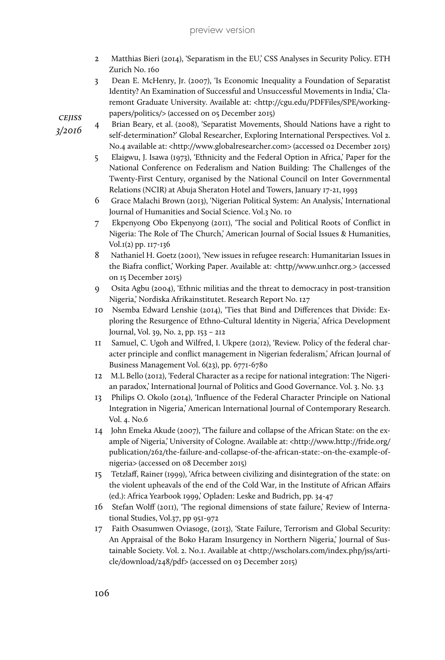- 2 Matthias Bieri (2014), 'Separatism in the EU,' CSS Analyses in Security Policy. ETH Zurich No. 160
- 3 Dean E. McHenry, Jr. (2007), 'Is Economic Inequality a Foundation of Separatist Identity? An Examination of Successful and Unsuccessful Movements in India,' Claremont Graduate University. Available at: <http://cgu.edu/PDFFiles/SPE/workingpapers/politics/> (accessed on 05 December 2015)

Brian Beary, et al. (2008), 'Separatist Movements, Should Nations have a right to self-determination?' Global Researcher, Exploring International Perspectives. Vol 2. No.4 available at: <http://www.globalresearcher.com> (accessed 02 December 2015)

- 5 Elaigwu, J. Isawa (1973), 'Ethnicity and the Federal Option in Africa,' Paper for the National Conference on Federalism and Nation Building: The Challenges of the Twenty-First Century, organised by the National Council on Inter Governmental Relations (NCIR) at Abuja Sheraton Hotel and Towers, January 17-21, 1993
- 6 Grace Malachi Brown (2013), 'Nigerian Political System: An Analysis,' International Journal of Humanities and Social Science. Vol.3 No. 10
- 7 Ekpenyong Obo Ekpenyong (2011), 'The social and Political Roots of Conflict in Nigeria: The Role of The Church,' American Journal of Social Issues & Humanities, Vol.1(2) pp. 117-136
- 8 Nathaniel H. Goetz (2001), 'New issues in refugee research: Humanitarian Issues in the Biafra conflict,' Working Paper. Available at: <http//www.unhcr.org.> (accessed on 15 December 2015)
- 9 Osita Agbu (2004), 'Ethnic militias and the threat to democracy in post-transition Nigeria,' Nordiska Afrikainstitutet. Research Report No. 127
- 10 Nsemba Edward Lenshie (2014), 'Ties that Bind and Differences that Divide: Exploring the Resurgence of Ethno-Cultural Identity in Nigeria,' Africa Development Journal, Vol. 39, No. 2, pp. 153 – 212
- 11 Samuel, C. Ugoh and Wilfred, I. Ukpere (2012), 'Review. Policy of the federal character principle and conflict management in Nigerian federalism,' African Journal of Business Management Vol. 6(23), pp. 6771-6780
- 12 M.L Bello (2012), 'Federal Character as a recipe for national integration: The Nigerian paradox,' International Journal of Politics and Good Governance. Vol. 3. No. 3.3
- 13 Philips O. Okolo (2014), 'Influence of the Federal Character Principle on National Integration in Nigeria,' American International Journal of Contemporary Research. Vol. 4. No.6
- 14 John Emeka Akude (2007), 'The failure and collapse of the African State: on the example of Nigeria,' University of Cologne. Available at: <http://www.http://fride.org/ publication/262/the-failure-and-collapse-of-the-african-state:-on-the-example-ofnigeria> (accessed on 08 December 2015)
- 15 Tetzlaff, Rainer (1999), 'Africa between civilizing and disintegration of the state: on the violent upheavals of the end of the Cold War, in the Institute of African Affairs (ed.): Africa Yearbook 1999,' Opladen: Leske and Budrich, pp. 34-47
- 16 Stefan Wolff (2011), 'The regional dimensions of state failure,' Review of International Studies, Vol.37, pp 951-972
- 17 Faith Osasumwen Oviasoge, (2013), 'State Failure, Terrorism and Global Security: An Appraisal of the Boko Haram Insurgency in Northern Nigeria,' Journal of Sustainable Society. Vol. 2. No.1. Available at <http://wscholars.com/index.php/jss/article/download/248/pdf> (accessed on 03 December 2015)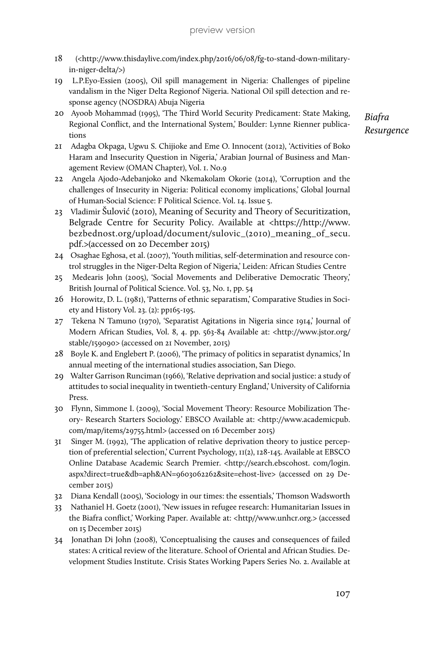- 18 (<http://www.thisdaylive.com/index.php/2016/06/08/fg-to-stand-down-militaryin-niger-delta/>)
- 19 L.P.Eyo-Essien (2005), Oil spill management in Nigeria: Challenges of pipeline vandalism in the Niger Delta Regionof Nigeria. National Oil spill detection and response agency (NOSDRA) Abuja Nigeria
- 20 Ayoob Mohammad (1995), 'The Third World Security Predicament: State Making, Regional Conflict, and the International System,' Boulder: Lynne Rienner publications
- 21 Adagba Okpaga, Ugwu S. Chijioke and Eme O. Innocent (2012), 'Activities of Boko Haram and Insecurity Question in Nigeria,' Arabian Journal of Business and Management Review (OMAN Chapter), Vol. 1. No.9
- 22 Angela Ajodo-Adebanjoko and Nkemakolam Okorie (2014), 'Corruption and the challenges of Insecurity in Nigeria: Political economy implications,' Global Journal of Human-Social Science: F Political Science. Vol. 14. Issue 5.
- 23 Vladimir Šulović (2010), Meaning of Security and Theory of Securitization, Belgrade Centre for Security Policy. Available at <https://http://www. bezbednost.org/upload/document/sulovic\_(2010)\_meaning\_of\_secu. pdf.>(accessed on 20 December 2015)
- 24 Osaghae Eghosa, et al. (2007), 'Youth militias, self-determination and resource control struggles in the Niger-Delta Region of Nigeria,' Leiden: African Studies Centre
- 25 Medearis John (2005), 'Social Movements and Deliberative Democratic Theory,' British Journal of Political Science. Vol. 53, No. 1, pp. 54
- 26 Horowitz, D. L. (1981), 'Patterns of ethnic separatism,' Comparative Studies in Society and History Vol. 23. (2): pp165-195.
- 27 Tekena N Tamuno (1970), 'Separatist Agitations in Nigeria since 1914,' Journal of Modern African Studies, Vol. 8, 4. pp. 563-84 Available at: <http://www.jstor.org/ stable/159090> (accessed on 21 November, 2015)
- 28 Boyle K. and Englebert P. (2006), 'The primacy of politics in separatist dynamics,' In annual meeting of the international studies association, San Diego.
- 29 Walter Garrison Runciman (1966), 'Relative deprivation and social justice: a study of attitudes to social inequality in twentieth-century England,' University of California Press.
- 30 Flynn, Simmone I. (2009), 'Social Movement Theory: Resource Mobilization Theory- Research Starters Sociology.' EBSCO Available at: <http://www.academicpub. com/map/items/29755.html> (accessed on 16 December 2015)
- 31 Singer M. (1992), 'The application of relative deprivation theory to justice perception of preferential selection,' Current Psychology, 11(2), 128-145. Available at EBSCO Online Database Academic Search Premier. <http://search.ebscohost. com/login. aspx?direct=true&db=aph&AN=9603062262&site=ehost-live> (accessed on 29 December 2015)
- 32 Diana Kendall (2005), 'Sociology in our times: the essentials,' Thomson Wadsworth
- 33 Nathaniel H. Goetz (2001), 'New issues in refugee research: Humanitarian Issues in the Biafra conflict,' Working Paper. Available at: <http//www.unhcr.org.> (accessed on 15 December 2015)
- 34 Jonathan Di John (2008), 'Conceptualising the causes and consequences of failed states: A critical review of the literature. School of Oriental and African Studies. Development Studies Institute. Crisis States Working Papers Series No. 2. Available at

*Biafra Resurgence*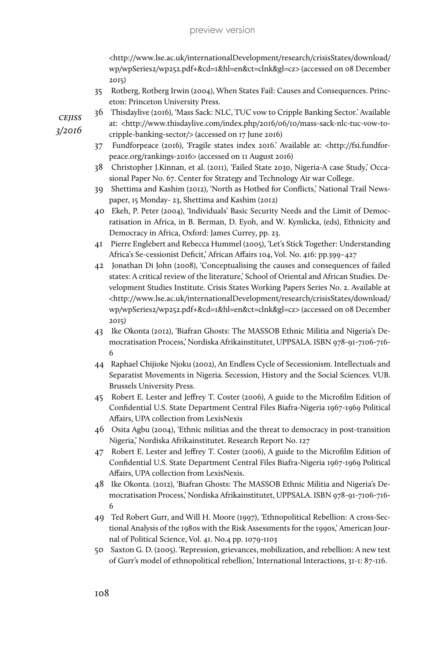<http://www.lse.ac.uk/internationalDevelopment/research/crisisStates/download/ wp/wpSeries2/wp252.pdf+&cd=1&hl=en&ct=clnk&gl=cz> (accessed on 08 December 2015)

- 35 Rotberg, Rotberg Irwin (2004), When States Fail: Causes and Consequences. Princeton: Princeton University Press.
- 36 Thisdaylive (2016), 'Mass Sack: NLC, TUC vow to Cripple Banking Sector.' Available

*cejiss 3/2016*

- at: <http://www.thisdaylive.com/index.php/2016/06/10/mass-sack-nlc-tuc-vow-tocripple-banking-sector/> (accessed on 17 June 2016)
- 37 Fundforpeace (2016), 'Fragile states index 2016.' Available at: <http://fsi.fundforpeace.org/rankings-2016> (accessed on 11 August 2016)
- 38 Christopher J.Kinnan, et al. (2011), 'Failed State 2030, Nigeria-A case Study,' Occasional Paper No. 67. Center for Strategy and Technology Air war College.
- 39 Shettima and Kashim (2012), 'North as Hotbed for Conflicts,' National Trail Newspaper, 15 Monday- 23, Shettima and Kashim (2012)
- 40 Ekeh, P. Peter (2004), 'Individuals' Basic Security Needs and the Limit of Democratisation in Africa, in B. Berman, D. Eyoh, and W. Kymlicka, (eds), Ethnicity and Democracy in Africa, Oxford: James Currey, pp. 23.
- 41 Pierre Englebert and Rebecca Hummel (2005), 'Let's Stick Together: Understanding Africa's Se-cessionist Deficit,' African Affairs 104, Vol. No. 416: pp.399–427
- 42 Jonathan Di John (2008), 'Conceptualising the causes and consequences of failed states: A critical review of the literature,' School of Oriental and African Studies. Development Studies Institute. Crisis States Working Papers Series No. 2. Available at <http://www.lse.ac.uk/internationalDevelopment/research/crisisStates/download/ wp/wpSeries2/wp252.pdf+&cd=1&hl=en&ct=clnk&gl=cz> (accessed on 08 December 2015)
- 43 Ike Okonta (2012), 'Biafran Ghosts: The MASSOB Ethnic Militia and Nigeria's Democratisation Process,' Nordiska Afrikainstitutet, UPPSALA. ISBN 978-91-7106-716- 6
- 44 Raphael Chijioke Njoku (2002), An Endless Cycle of Secessionism. Intellectuals and Separatist Movements in Nigeria. Secession, History and the Social Sciences. VUB. Brussels University Press.
- 45 Robert E. Lester and Jeffrey T. Coster (2006), A guide to the Microfilm Edition of Confidential U.S. State Department Central Files Biafra-Nigeria 1967-1969 Political Affairs, UPA collection from LexisNexis
- 46 Osita Agbu (2004), 'Ethnic militias and the threat to democracy in post-transition Nigeria,' Nordiska Afrikainstitutet. Research Report No. 127
- 47 Robert E. Lester and Jeffrey T. Coster (2006), A guide to the Microfilm Edition of Confidential U.S. State Department Central Files Biafra-Nigeria 1967-1969 Political Affairs, UPA collection from LexisNexis.
- 48 Ike Okonta. (2012), 'Biafran Ghosts: The MASSOB Ethnic Militia and Nigeria's Democratisation Process,' Nordiska Afrikainstitutet, UPPSALA. ISBN 978-91-7106-716- 6
- 49 Ted Robert Gurr, and Will H. Moore (1997), 'Ethnopolitical Rebellion: A cross-Sectional Analysis of the 1980s with the Risk Assessments for the 1990s,' American Journal of Political Science, Vol. 41. No.4 pp. 1079-1103
- 50 Saxton G. D. (2005). 'Repression, grievances, mobilization, and rebellion: A new test of Gurr's model of ethnopolitical rebellion,' International Interactions, 31-1: 87-116.